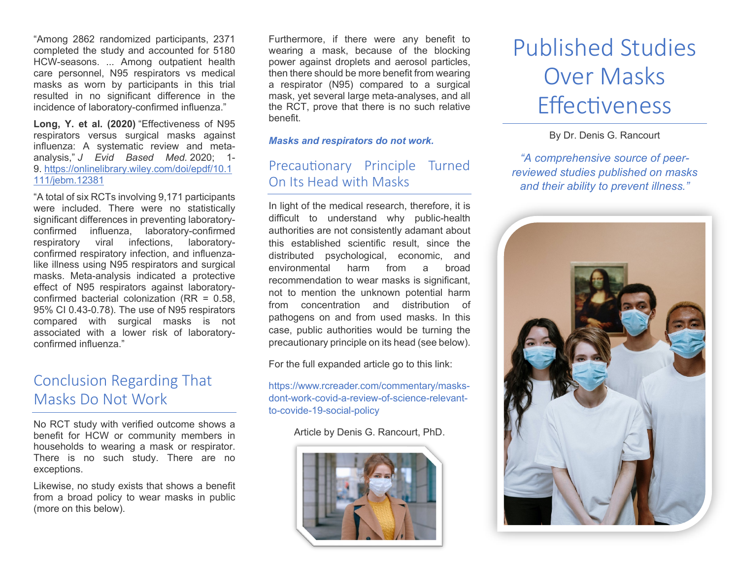"Among 2862 randomized participants, 2371 completed the study and accounted for 5180 HCW-seasons. ... Among outpatient health care personnel, N95 respirators vs medical masks as worn by participants in this trial resulted in no significant difference in the incidence of laboratory-confirmed influenza."

**Long, Y. et al. (2020)** "Effectiveness of N95 respirators versus surgical masks against influenza: A systematic review and metaanalysis," *J Evid Based Med.* 2020; 1- 9. [https://onlinelibrary.wiley.com/doi/epdf/10.1](https://onlinelibrary.wiley.com/doi/epdf/10.1111/jebm.12381) [111/jebm.12381](https://onlinelibrary.wiley.com/doi/epdf/10.1111/jebm.12381)

"A total of six RCTs involving 9,171 participants were included. There were no statistically significant differences in preventing laboratoryconfirmed influenza, laboratory-confirmed respiratory viral infections, laboratoryconfirmed respiratory infection, and influenzalike illness using N95 respirators and surgical masks. Meta-analysis indicated a protective effect of N95 respirators against laboratoryconfirmed bacterial colonization (RR = 0.58, 95% CI 0.43-0.78). The use of N95 respirators compared with surgical masks is not associated with a lower risk of laboratoryconfirmed influenza."

## Conclusion Regarding That Masks Do Not Work

No RCT study with verified outcome shows a benefit for HCW or community members in households to wearing a mask or respirator. There is no such study. There are no exceptions.

Likewise, no study exists that shows a benefit from a broad policy to wear masks in public (more on this below).

Furthermore, if there were any benefit to wearing a mask, because of the blocking power against droplets and aerosol particles, then there should be more benefit from wearing a respirator (N95) compared to a surgical mask, yet several large meta-analyses, and all the RCT, prove that there is no such relative benefit.

*Masks and respirators do not work.*

### Precautionary Principle Turned On Its Head with Masks

In light of the medical research, therefore, it is difficult to understand why public-health authorities are not consistently adamant about this established scientific result, since the distributed psychological, economic, and environmental harm from a broad recommendation to wear masks is significant, not to mention the unknown potential harm from concentration and distribution of pathogens on and from used masks. In this case, public authorities would be turning the precautionary principle on its head (see below).

For the full expanded article go to this link:

[https://www.rcreader.com/commentary/masks](https://www.rcreader.com/commentary/masks-dont-work-covid-a-review-of-science-relevant-to-covide-19-social-policy)[dont-work-covid-a-review-of-science-relevant](https://www.rcreader.com/commentary/masks-dont-work-covid-a-review-of-science-relevant-to-covide-19-social-policy)[to-covide-19-social-policy](https://www.rcreader.com/commentary/masks-dont-work-covid-a-review-of-science-relevant-to-covide-19-social-policy)

#### Article by Denis G. Rancourt, PhD.



# Published Studies Over Masks **Effectiveness**

By Dr. Denis G. Rancourt

*"A comprehensive source of peerreviewed studies published on masks and their ability to prevent illness."*